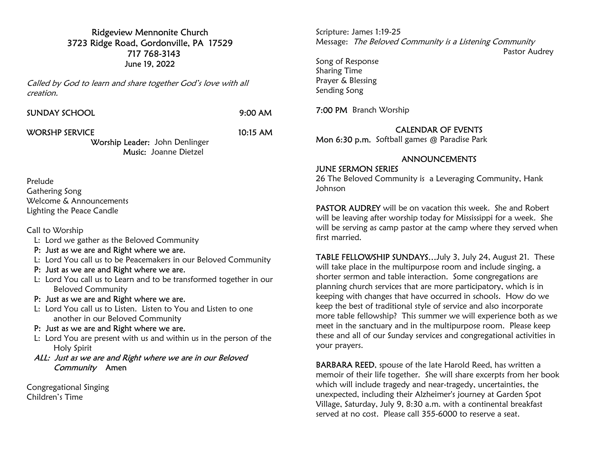### Ridgeview Mennonite Church 3723 Ridge Road, Gordonville, PA 17529 717 768-3143 June 19, 2022

Called by God to learn and share together God's love with all creation.

9:00 AM

#### WORSHP SERVICE 10:15 AM

Worship Leader: John Denlinger Music: Joanne Dietzel

Prelude Gathering Song Welcome & Announcements Lighting the Peace Candle

Call to Worship

- L: Lord we gather as the Beloved Community
- P: Just as we are and Right where we are.
- L: Lord You call us to be Peacemakers in our Beloved Community
- P: Just as we are and Right where we are.
- L: Lord You call us to Learn and to be transformed together in our Beloved Community
- P: Just as we are and Right where we are.
- L: Lord You call us to Listen. Listen to You and Listen to one another in our Beloved Community
- P: Just as we are and Right where we are.
- L: Lord You are present with us and within us in the person of the Holy Spirit
- ALL: Just as we are and Right where we are in our Beloved Community Amen

Congregational Singing Children's Time

Scripture: James 1:19-25 Message: The Beloved Community is a Listening Community Pastor Audrey Song of Response Sharing Time

Prayer & Blessing Sending Song

7:00 PM Branch Worship

## CALENDAR OF EVENTS

Mon 6:30 p.m. Softball games @ Paradise Park

## ANNOUNCEMENTS

#### JUNE SERMON SERIES

26 The Beloved Community is a Leveraging Community, Hank Johnson

PASTOR AUDREY will be on vacation this week. She and Robert will be leaving after worship today for Mississippi for a week. She will be serving as camp pastor at the camp where they served when first married.

TABLE FELLOWSHIP SUNDAYS…July 3, July 24, August 21. These will take place in the multipurpose room and include singing, a shorter sermon and table interaction. Some congregations are planning church services that are more participatory, which is in keeping with changes that have occurred in schools. How do we keep the best of traditional style of service and also incorporate more table fellowship? This summer we will experience both as we meet in the sanctuary and in the multipurpose room. Please keep these and all of our Sunday services and congregational activities in your prayers.

BARBARA REED, spouse of the late Harold Reed, has written a memoir of their life together. She will share excerpts from her book which will include tragedy and near-tragedy, uncertainties, the unexpected, including their Alzheimer's journey at Garden Spot Village, Saturday, July 9, 8:30 a.m. with a continental breakfast served at no cost. Please call 355-6000 to reserve a seat.